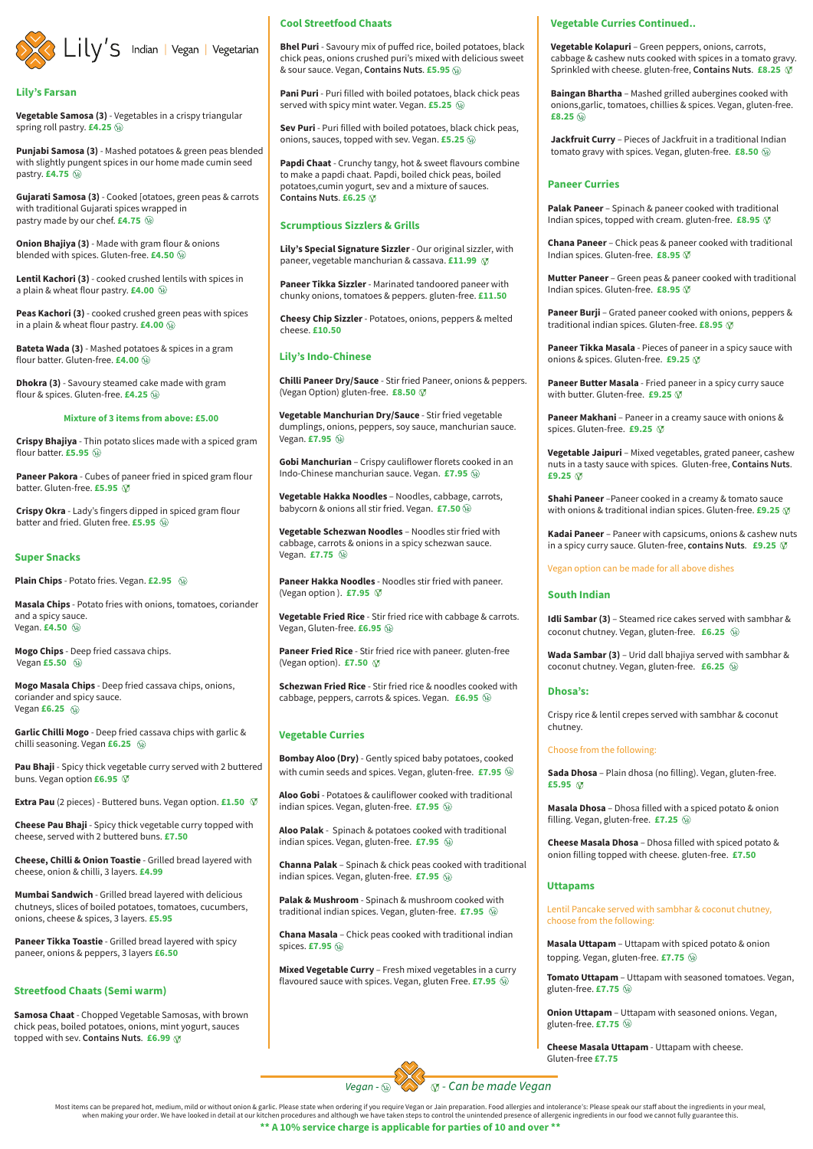

#### **Lily's Farsan**

Vegetable Samosa (3) - Vegetables in a crispy triangular spring roll pastry. £4.25 <sup>(16)</sup>

Punjabi Samosa (3) - Mashed potatoes & green peas blended with slightly pungent spices in our home made cumin seed pastry. £4.75  $%$ 

Gujarati Samosa (3) - Cooked [otatoes, green peas & carrots with traditional Gujarati spices wrapped in pastry made by our chef. £4.75 \\inl

**Onion Bhajiya (3)** - Made with gram flour & onions blended with spices. Gluten-free. £4.50 <sup>(2)</sup>

Lentil Kachori (3) - cooked crushed lentils with spices in a plain & wheat flour pastry. £4.00 @

Peas Kachori (3) - cooked crushed green peas with spices in a plain & wheat flour pastry. £4.00  $%$ 

Bateta Wada (3) - Mashed potatoes & spices in a gram flour batter. Gluten-free. £4.00 @

**Dhokra (3)** - Savoury steamed cake made with gram flour & spices. Gluten-free. £4.25 <sup>(16)</sup>

#### Mixture of 3 items from above: £5.00

Crispy Bhajiya - Thin potato slices made with a spiced gram flour batter. **£5.95**  $\circledast$ 

Paneer Pakora - Cubes of paneer fried in spiced gram flour batter. Gluten-free. £5.95 Ø

Crispy Okra - Lady's fingers dipped in spiced gram flour batter and fried. Gluten free. £5.95 <sup>(*ii*)</sup>

#### **Super Snacks**

**Plain Chips** - Potato fries. Vegan. £2.95 <sup>(*ii*)</sup>

Masala Chips - Potato fries with onions, tomatoes, coriander and a spicy sauce. Vegan. £4.50 <sup>(2)</sup>

Mogo Chips - Deep fried cassava chips. Vegan  $£5.50$   $@$ 

Mogo Masala Chips - Deep fried cassava chips, onions, coriander and spicy sauce. Vegan  $£6.25$   $@$ 

Garlic Chilli Mogo - Deep fried cassava chips with garlic & chilli seasoning. Vegan £6.25 @

Pau Bhaji - Spicy thick vegetable curry served with 2 buttered buns. Vegan option £6.95 Ø

Extra Pau (2 pieces) - Buttered buns. Vegan option. £1.50  $\circledR$ 

Cheese Pau Bhaji - Spicy thick vegetable curry topped with cheese, served with 2 buttered buns. £7.50

Cheese, Chilli & Onion Toastie - Grilled bread layered with

#### **Cool Streetfood Chaats**

Bhel Puri - Savoury mix of puffed rice, boiled potatoes, black chick peas, onions crushed puri's mixed with delicious sweet & sour sauce. Vegan, Contains Nuts. £5.95 @

Pani Puri - Puri filled with boiled potatoes, black chick peas served with spicy mint water. Vegan. £5.25 @

Sev Puri - Puri filled with boiled potatoes, black chick peas, onions, sauces, topped with sev. Vegan. £5.25 @

Papdi Chaat - Crunchy tangy, hot & sweet flavours combine to make a papdi chaat. Papdi, boiled chick peas, boiled potatoes, cumin yogurt, sev and a mixture of sauces. Contains Nuts. £6.25  $%$ 

#### **Scrumptious Sizzlers & Grills**

Lily's Special Signature Sizzler - Our original sizzler, with paneer, vegetable manchurian & cassava. £11.99 Ø

Paneer Tikka Sizzler - Marinated tandoored paneer with chunky onions, tomatoes & peppers. gluten-free. £11.50

Cheesy Chip Sizzler - Potatoes, onions, peppers & melted cheese. £10.50

#### **Lily's Indo-Chinese**

Chilli Paneer Dry/Sauce - Stir fried Paneer, onions & peppers. (Vegan Option) gluten-free. £8.50 Ø

Vegetable Manchurian Dry/Sauce - Stir fried vegetable dumplings, onions, peppers, soy sauce, manchurian sauce. Vegan. £7.95 @

Gobi Manchurian - Crispy cauliflower florets cooked in an Indo-Chinese manchurian sauce. Vegan. £7.95 @

Vegetable Hakka Noodles - Noodles, cabbage, carrots, babycorn & onions all stir fried. Vegan. £7.50 We

Vegetable Schezwan Noodles - Noodles stir fried with cabbage, carrots & onions in a spicy schezwan sauce. Vegan. £7.75 <sup>(*Ve*)</sup>

Paneer Hakka Noodles - Noodles stir fried with paneer. (Vegan option). £7.95  $\heartsuit$ 

Vegetable Fried Rice - Stir fried rice with cabbage & carrots. Vegan, Gluten-free. £6.95 @

Paneer Fried Rice - Stir fried rice with paneer. gluten-free (Vegan option). £7.50  $\oslash$ 

Schezwan Fried Rice - Stir fried rice & noodles cooked with cabbage, peppers, carrots & spices. Vegan. £6.95 @

#### **Vegetable Curries**

Bombay Aloo (Dry) - Gently spiced baby potatoes, cooked with cumin seeds and spices. Vegan, gluten-free.  $£7.95$   $%$ 

Aloo Gobi - Potatoes & cauliflower cooked with traditional indian spices. Vegan, gluten-free. £7.95 <sup>(26)</sup>

Aloo Palak - Spinach & potatoes cooked with traditional indian spices. Vegan, gluten-free.  $£7.95$   $\circledast$ 

**Channa Palak** - Spinach & chick peas cooked with traditional

#### **Vegetable Curries Continued..**

Vegetable Kolapuri - Green peppers, onions, carrots, cabbage & cashew nuts cooked with spices in a tomato gravy. Sprinkled with cheese. gluten-free, Contains Nuts. £8.25 Ø

Baingan Bhartha - Mashed grilled aubergines cooked with onions, garlic, tomatoes, chillies & spices. Vegan, gluten-free. £8.25  $\omega$ 

Jackfruit Curry - Pieces of Jackfruit in a traditional Indian tomato gravy with spices. Vegan, gluten-free. £8.50 @

#### **Paneer Curries**

Palak Paneer - Spinach & paneer cooked with traditional Indian spices, topped with cream. gluten-free. £8.95 Ø

Chana Paneer - Chick peas & paneer cooked with traditional Indian spices. Gluten-free. £8.95 Ø

Mutter Paneer - Green peas & paneer cooked with traditional Indian spices. Gluten-free. £8.95 V

Paneer Burji - Grated paneer cooked with onions, peppers & traditional indian spices. Gluten-free. £8.95  $\oslash$ 

Paneer Tikka Masala - Pieces of paneer in a spicy sauce with onions & spices. Gluten-free. £9.25 Ø

Paneer Butter Masala - Fried paneer in a spicy curry sauce with butter. Gluten-free. £9.25  $\heartsuit$ 

Paneer Makhani - Paneer in a creamy sauce with onions & spices. Gluten-free. £9.25 Ø

Vegetable Jaipuri - Mixed vegetables, grated paneer, cashew nuts in a tasty sauce with spices. Gluten-free, Contains Nuts. £9.25  $\heartsuit$ 

Shahi Paneer - Paneer cooked in a creamy & tomato sauce with onions & traditional indian spices. Gluten-free. £9.25  $\oslash$ 

Kadai Paneer - Paneer with capsicums, onions & cashew nuts in a spicy curry sauce. Gluten-free, contains Nuts. £9.25  $\mathcal V$ 

Vegan option can be made for all above dishes

#### **South Indian**

Idli Sambar (3) - Steamed rice cakes served with sambhar & coconut chutney. Vegan, gluten-free. £6.25 @

Wada Sambar (3) - Urid dall bhajiya served with sambhar & coconut chutney. Vegan, gluten-free. £6.25 @

#### **Dhosa's:**

Crispy rice & lentil crepes served with sambhar & coconut chutney.

#### Choose from the following:

Sada Dhosa - Plain dhosa (no filling). Vegan, gluten-free. £5.95  $\circledR$ 

Masala Dhosa - Dhosa filled with a spiced potato & onion filling. Vegan, gluten-free. £7.25 <sup>@</sup>

Cheese Masala Dhosa - Dhosa filled with spiced potato & onion filling topped with cheese. gluten-free. £7.50

cheese, onion & chilli, 3 layers. £4.99

Mumbai Sandwich - Grilled bread layered with delicious chutneys, slices of boiled potatoes, tomatoes, cucumbers, onions, cheese & spices, 3 layers. £5.95

Paneer Tikka Toastie - Grilled bread layered with spicy paneer, onions & peppers, 3 layers £6.50

**Streetfood Chaats (Semi warm)** 

Samosa Chaat - Chopped Vegetable Samosas, with brown chick peas, boiled potatoes, onions, mint yogurt, sauces topped with sev. Contains Nuts. £6.99  $\circledR$ 

indian spices. Vegan, gluten-free. £7.95 <sup>@</sup>

Palak & Mushroom - Spinach & mushroom cooked with traditional indian spices. Vegan, gluten-free.  $£7.95$   $%$ 

Chana Masala - Chick peas cooked with traditional indian spices. £7.95  $\circledR$ 

Mixed Vegetable Curry - Fresh mixed vegetables in a curry flavoured sauce with spices. Vegan, gluten Free. £7.95 @

#### **Uttapams**

Lentil Pancake served with sambhar & coconut chutney, choose from the following:

Masala Uttapam - Uttapam with spiced potato & onion topping. Vegan, gluten-free. £7.75 <sup>(16)</sup>

Tomato Uttapam - Uttapam with seasoned tomatoes. Vegan, gluten-free.  $£7.75$  <sup>( $\circledast$ </sup>)

Onion Uttapam - Uttapam with seasoned onions. Vegan, gluten-free.  $£7.75$  <sup>( $\circledast$ </sup>)

Cheese Masala Uttapam - Uttapam with cheese. Gluten-free £7.75

**₹** - Can be made Vegan Vegan -  $\circledR$ 

Most items can be prepared hot, medium, mild or without onion & garlic. Please state when ordering if you require Vegan or Jain preparation. Food allergies and intolerance's: Please speak our staff about the ingredients in when making your order. We have looked in detail at our kitchen procedures and although we have taken steps to control the unintended presence of allergenic ingredients in our food we cannot fully guarantee this.

\*\* A 10% service charge is applicable for parties of 10 and over \*\*